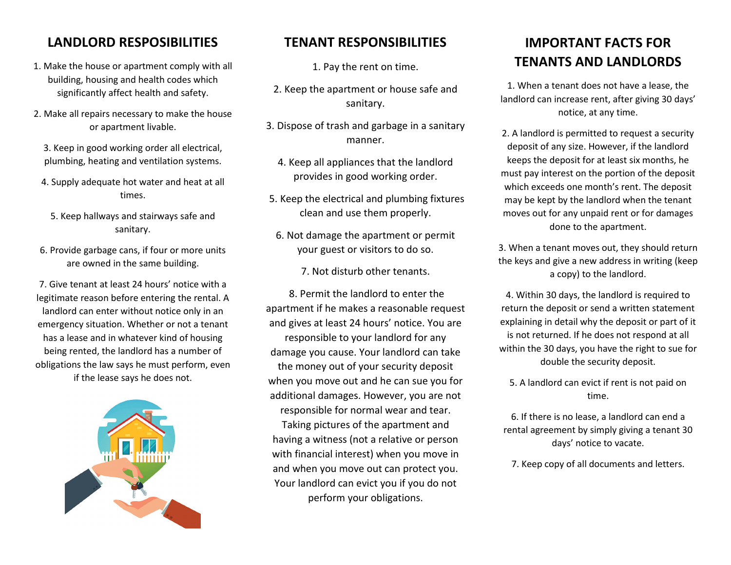### **LANDLORD RESPOSIBILITIES**

- 1. Make the house or apartment comply with all building, housing and health codes which significantly affect health and safety.
- 2. Make all repairs necessary to make the house or apartment livable.
	- 3. Keep in good working order all electrical, plumbing, heating and ventilation systems.
	- 4. Supply adequate hot water and heat at all times.
		- 5. Keep hallways and stairways safe and sanitary.
- 6. Provide garbage cans, if four or more units are owned in the same building.

7. Give tenant at least 24 hours' notice with a legitimate reason before entering the rental. A landlord can enter without notice only in an emergency situation. Whether or not a tenant has a lease and in whatever kind of housing being rented, the landlord has a number of obligations the law says he must perform, even if the lease says he does not.



### **TENANT RESPONSIBILITIES**

1. Pay the rent on time.

- 2. Keep the apartment or house safe and sanitary.
- 3. Dispose of trash and garbage in a sanitary manner.
	- 4. Keep all appliances that the landlord provides in good working order.
- 5. Keep the electrical and plumbing fixtures clean and use them properly.
- 6. Not damage the apartment or permit your guest or visitors to do so.

7. Not disturb other tenants.

8. Permit the landlord to enter the apartment if he makes a reasonable request and gives at least 24 hours' notice. You are responsible to your landlord for any damage you cause. Your landlord can take the money out of your security deposit when you move out and he can sue you for additional damages. However, you are not responsible for normal wear and tear. Taking pictures of the apartment and having a witness (not a relative or person with financial interest) when you move in and when you move out can protect you. Your landlord can evict you if you do not perform your obligations.

## **IMPORTANT FACTS FOR TENANTS AND LANDLORDS**

1. When a tenant does not have a lease, the landlord can increase rent, after giving 30 days' notice, at any time.

2. A landlord is permitted to request a security deposit of any size. However, if the landlord keeps the deposit for at least six months, he must pay interest on the portion of the deposit which exceeds one month's rent. The deposit may be kept by the landlord when the tenant moves out for any unpaid rent or for damages done to the apartment.

3. When a tenant moves out, they should return the keys and give a new address in writing (keep a copy) to the landlord.

4. Within 30 days, the landlord is required to return the deposit or send a written statement explaining in detail why the deposit or part of it is not returned. If he does not respond at all within the 30 days, you have the right to sue for double the security deposit.

5. A landlord can evict if rent is not paid on time.

6. If there is no lease, a landlord can end a rental agreement by simply giving a tenant 30 days' notice to vacate.

7. Keep copy of all documents and letters.